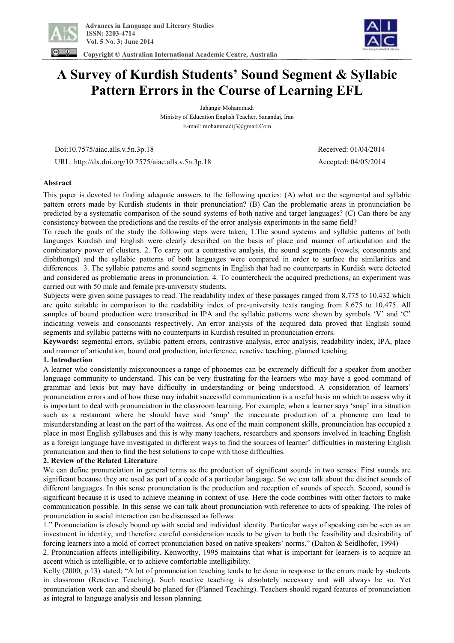

 **Copyright © Australian International Academic Centre, Australia** 



# **A Survey of Kurdish Students' Sound Segment & Syllabic Pattern Errors in the Course of Learning EFL**

Jahangir Mohammadi Ministry of Education English Teacher, Sanandaj, Iran E-mail: mohammadij3@gmail.Com

Doi:10.7575/aiac.alls.v.5n.3p.18 Received: 01/04/2014

URL: http://dx.doi.org/10.7575/aiac.alls.v.5n.3p.18 Accepted: 04/05/2014

## **Abstract**

This paper is devoted to finding adequate answers to the following queries: (A) what are the segmental and syllabic pattern errors made by Kurdish students in their pronunciation? (B) Can the problematic areas in pronunciation be predicted by a systematic comparison of the sound systems of both native and target languages? (C) Can there be any consistency between the predictions and the results of the error analysis experiments in the same field?

To reach the goals of the study the following steps were taken; 1.The sound systems and syllabic patterns of both languages Kurdish and English were clearly described on the basis of place and manner of articulation and the combinatory power of clusters. 2. To carry out a contrastive analysis, the sound segments (vowels, consonants and diphthongs) and the syllabic patterns of both languages were compared in order to surface the similarities and differences. 3. The syllabic patterns and sound segments in English that had no counterparts in Kurdish were detected and considered as problematic areas in pronunciation. 4. To countercheck the acquired predictions, an experiment was carried out with 50 male and female pre-university students.

Subjects were given some passages to read. The readability index of these passages ranged from 8.775 to 10.432 which are quite suitable in comparison to the readability index of pre-university texts ranging from 8.675 to 10.475. All samples of bound production were transcribed in IPA and the syllabic patterns were shown by symbols 'V' and 'C' indicating vowels and consonants respectively. An error analysis of the acquired data proved that English sound segments and syllabic patterns with no counterparts in Kurdish resulted in pronunciation errors.

**Keywords:** segmental errors, syllabic pattern errors, contrastive analysis, error analysis, readability index, IPA, place and manner of articulation, bound oral production, interference, reactive teaching, planned teaching

#### **1. Introduction**

A learner who consistently mispronounces a range of phonemes can be extremely difficult for a speaker from another language community to understand. This can be very frustrating for the learners who may have a good command of grammar and lexis but may have difficulty in understanding or being understood. A consideration of learners' pronunciation errors and of how these may inhabit successful communication is a useful basis on which to assess why it is important to deal with pronunciation in the classroom learning. For example, when a learner says 'soap' in a situation such as a restaurant where he should have said 'soup' the inaccurate production of a phoneme can lead to misunderstanding at least on the part of the waitress. As one of the main component skills, pronunciation has occupied a place in most English syllabuses and this is why many teachers, researchers and sponsors involved in teaching English as a foreign language have investigated in different ways to find the sources of learner' difficulties in mastering English pronunciation and then to find the best solutions to cope with those difficulties.

#### **2. Review of the Related Literature**

We can define pronunciation in general terms as the production of significant sounds in two senses. First sounds are significant because they are used as part of a code of a particular language. So we can talk about the distinct sounds of different languages. In this sense pronunciation is the production and reception of sounds of speech. Second, sound is significant because it is used to achieve meaning in context of use. Here the code combines with other factors to make communication possible. In this sense we can talk about pronunciation with reference to acts of speaking. The roles of pronunciation in social interaction can be discussed as follows.

1." Pronunciation is closely bound up with social and individual identity. Particular ways of speaking can be seen as an investment in identity, and therefore careful consideration needs to be given to both the feasibility and desirability of forcing learners into a mold of correct pronunciation based on native speakers' norms." (Dalton & Seidlhofer, 1994)

2. Pronunciation affects intelligibility. Kenworthy, 1995 maintains that what is important for learners is to acquire an accent which is intelligible, or to achieve comfortable intelligibility.

Kelly (2000, p.13) stated; "A lot of pronunciation teaching tends to be done in response to the errors made by students in classroom (Reactive Teaching). Such reactive teaching is absolutely necessary and will always be so. Yet pronunciation work can and should be planed for (Planned Teaching). Teachers should regard features of pronunciation as integral to language analysis and lesson planning.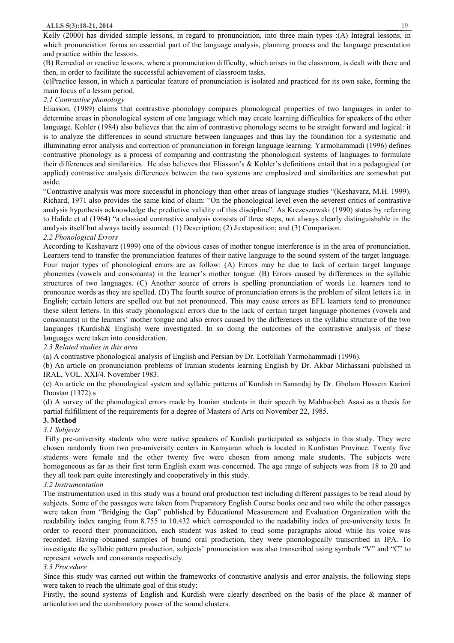Kelly (2000) has divided sample lessons, in regard to pronunciation, into three main types :(A) Integral lessons, in which pronunciation forms an essential part of the language analysis, planning process and the language presentation and practice within the lessons.

(B) Remedial or reactive lessons, where a pronunciation difficulty, which arises in the classroom, is dealt with there and then, in order to facilitate the successful achievement of classroom tasks.

(c)Practice lesson, in which a particular feature of pronunciation is isolated and practiced for its own sake, forming the main focus of a lesson period.

# *2.1 Contrastive phonology*

Eliasson, (1989) claims that contrastive phonology compares phonological properties of two languages in order to determine areas in phonological system of one language which may create learning difficulties for speakers of the other language. Kohler (1984) also believes that the aim of contrastive phonology seems to be straight forward and logical: it is to analyze the differences in sound structure between languages and thus lay the foundation for a systematic and illuminating error analysis and correction of pronunciation in foreign language learning. Yarmohammadi (1996) defines contrastive phonology as a process of comparing and contrasting the phonological systems of languages to formulate their differences and similarities. He also believes that Eliasson's & Kohler's definitions entail that in a pedagogical (or applied) contrastive analysis differences between the two systems are emphasized and similarities are somewhat put aside.

"Contrastive analysis was more successful in phonology than other areas of language studies "(Keshavarz, M.H. 1999). Richard, 1971 also provides the same kind of claim: "On the phonological level even the severest critics of contrastive analysis hypothesis acknowledge the predictive validity of this discipline". As Krezeszowski (1990) states by referring to Halide et al (1964) "a classical contrastive analysis consists of three steps, not always clearly distinguishable in the analysis itself but always tacitly assumed: (1) Description; (2) Juxtaposition; and (3) Comparison.

## *2.2 Phonological Errors*

According to Keshavarz (1999) one of the obvious cases of mother tongue interference is in the area of pronunciation. Learners tend to transfer the pronunciation features of their native language to the sound system of the target language. Four major types of phonological errors are as follow: (A) Errors may be due to lack of certain target language phonemes (vowels and consonants) in the learner's mother tongue. (B) Errors caused by differences in the syllabic structures of two languages. (C) Another source of errors is spelling pronunciation of words i.e. learners tend to pronounce words as they are spelled. (D) The fourth source of pronunciation errors is the problem of silent letters i.e. in English; certain letters are spelled out but not pronounced. This may cause errors as EFL learners tend to pronounce these silent letters. In this study phonological errors due to the lack of certain target language phonemes (vowels and consonants) in the learners' mother tongue and also errors caused by the differences in the syllabic structure of the two languages (Kurdish& English) were investigated. In so doing the outcomes of the contrastive analysis of these languages were taken into consideration.

*2.3 Related studies in this area* 

(a) A contrastive phonological analysis of English and Persian by Dr. Lotfollah Yarmohammadi (1996).

(b) An article on pronunciation problems of Iranian students learning English by Dr. Akbar Mirhassani published in IRAL, VOL. XXI/4. November 1983.

(c) An article on the phonological system and syllabic patterns of Kurdish in Sanandaj by Dr. Gholam Hossein Karimi Doostan (1372).s

(d) A survey of the phonological errors made by Iranian students in their speech by Mahbuobeh Asasi as a thesis for partial fulfillment of the requirements for a degree of Masters of Arts on November 22, 1985.

## **3. Method**

## *3.1 Subjects*

Fifty pre-university students who were native speakers of Kurdish participated as subjects in this study. They were chosen randomly from two pre-university centers in Kamyaran which is located in Kurdistan Province. Twenty five students were female and the other twenty five were chosen from among male students. The subjects were homogeneous as far as their first term English exam was concerned. The age range of subjects was from 18 to 20 and they all took part quite interestingly and cooperatively in this study.

## *3.2 Instrumentation*

The instrumentation used in this study was a bound oral production test including different passages to be read aloud by subjects. Some of the passages were taken from Preparatory English Course books one and two while the other passages were taken from "Bridging the Gap" published by Educational Measurement and Evaluation Organization with the readability index ranging from 8.755 to 10.432 which corresponded to the readability index of pre-university texts. In order to record their pronunciation, each student was asked to read some paragraphs aloud while his voice was recorded. Having obtained samples of bound oral production, they were phonologically transcribed in IPA. To investigate the syllabic pattern production, subjects' pronunciation was also transcribed using symbols "V" and "C" to represent vowels and consonants respectively.

## *3.3 Procedure*

Since this study was carried out within the frameworks of contrastive analysis and error analysis, the following steps were taken to reach the ultimate goal of this study:

Firstly, the sound systems of English and Kurdish were clearly described on the basis of the place & manner of articulation and the combinatory power of the sound clusters.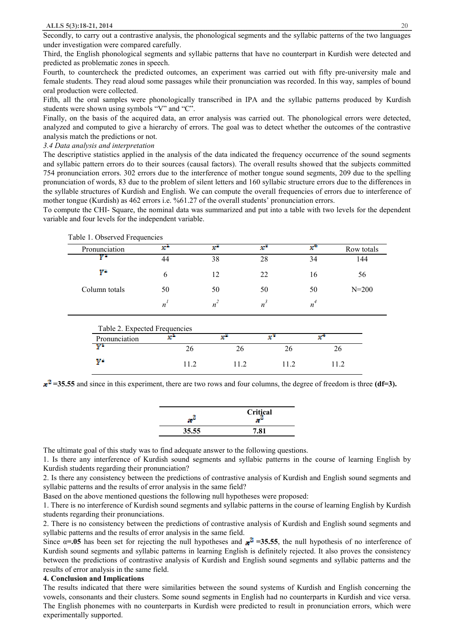Secondly, to carry out a contrastive analysis, the phonological segments and the syllabic patterns of the two languages under investigation were compared carefully.

Third, the English phonological segments and syllabic patterns that have no counterpart in Kurdish were detected and predicted as problematic zones in speech.

Fourth, to countercheck the predicted outcomes, an experiment was carried out with fifty pre-university male and female students. They read aloud some passages while their pronunciation was recorded. In this way, samples of bound oral production were collected.

Fifth, all the oral samples were phonologically transcribed in IPA and the syllabic patterns produced by Kurdish students were shown using symbols "V" and "C".

Finally, on the basis of the acquired data, an error analysis was carried out. The phonological errors were detected, analyzed and computed to give a hierarchy of errors. The goal was to detect whether the outcomes of the contrastive analysis match the predictions or not.

*3.4 Data analysis and interpretation* 

Ψé

The descriptive statistics applied in the analysis of the data indicated the frequency occurrence of the sound segments and syllabic pattern errors do to their sources (causal factors). The overall results showed that the subjects committed 754 pronunciation errors. 302 errors due to the interference of mother tongue sound segments, 209 due to the spelling pronunciation of words, 83 due to the problem of silent letters and 160 syllabic structure errors due to the differences in the syllable structures of Kurdish and English. We can compute the overall frequencies of errors due to interference of mother tongue (Kurdish) as 462 errors i.e. %61.27 of the overall students' pronunciation errors.

To compute the CHI- Square, the nominal data was summarized and put into a table with two levels for the dependent variable and four levels for the independent variable.

| Table 1. Observed Frequencies |                               |       |       |       |            |
|-------------------------------|-------------------------------|-------|-------|-------|------------|
| Pronunciation                 | x*                            | xř    | x*    | x*    | Row totals |
| ŲΤ                            | 44                            | 38    | 28    | 34    | 144        |
| $Y^{\mathbb{X}}$              | 6                             | 12    | 22    | 16    | 56         |
| Column totals                 | 50                            | 50    | 50    | 50    | $N = 200$  |
|                               | $n^{l}$                       | $n^2$ | $n^3$ | $n^4$ |            |
|                               | Table 2. Expected Frequencies |       |       |       |            |
| Pronunciation                 | x.                            | x"    | x     | x°    |            |
| y1                            | 26                            | 26    | 26    |       | 26         |

 $x^2$  = 35.55 and since in this experiment, there are two rows and four columns, the degree of freedom is three **(df**=3).

11.2 11.2 11.2 11.2

|       | Critical |  |  |
|-------|----------|--|--|
| 35.55 | 81<br>┓  |  |  |

The ultimate goal of this study was to find adequate answer to the following questions.

1. Is there any interference of Kurdish sound segments and syllabic patterns in the course of learning English by Kurdish students regarding their pronunciation?

2. Is there any consistency between the predictions of contrastive analysis of Kurdish and English sound segments and syllabic patterns and the results of error analysis in the same field?

Based on the above mentioned questions the following null hypotheses were proposed:

1. There is no interference of Kurdish sound segments and syllabic patterns in the course of learning English by Kurdish students regarding their pronunciations.

2. There is no consistency between the predictions of contrastive analysis of Kurdish and English sound segments and syllabic patterns and the results of error analysis in the same field.

Since  $\alpha = .05$  has been set for rejecting the null hypotheses and  $\pi^2 = 35.55$ , the null hypothesis of no interference of Kurdish sound segments and syllabic patterns in learning English is definitely rejected. It also proves the consistency between the predictions of contrastive analysis of Kurdish and English sound segments and syllabic patterns and the results of error analysis in the same field.

#### **4. Conclusion and Implications**

The results indicated that there were similarities between the sound systems of Kurdish and English concerning the vowels, consonants and their clusters. Some sound segments in English had no counterparts in Kurdish and vice versa. The English phonemes with no counterparts in Kurdish were predicted to result in pronunciation errors, which were experimentally supported.